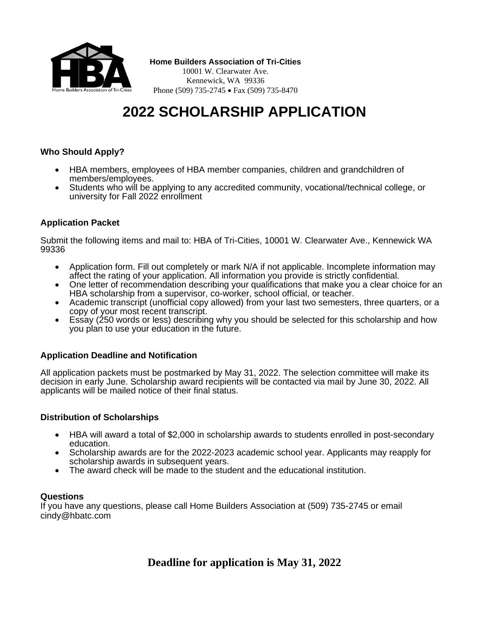

**Home Builders Association of Tri-Cities**

10001 W. Clearwater Ave. Kennewick, WA 99336 Phone (509) 735-2745 • Fax (509) 735-8470

# **2022 SCHOLARSHIP APPLICATION**

## **Who Should Apply?**

- HBA members, employees of HBA member companies, children and grandchildren of members/employees.
- Students who will be applying to any accredited community, vocational/technical college, or university for Fall 2022 enrollment

## **Application Packet**

Submit the following items and mail to: HBA of Tri-Cities, 10001 W. Clearwater Ave., Kennewick WA 99336

- Application form. Fill out completely or mark N/A if not applicable. Incomplete information may affect the rating of your application. All information you provide is strictly confidential.
- One letter of recommendation describing your qualifications that make you a clear choice for an HBA scholarship from a supervisor, co-worker, school official, or teacher.
- Academic transcript (unofficial copy allowed) from your last two semesters, three quarters, or a copy of your most recent transcript.
- Essay (250 words or less) describing why you should be selected for this scholarship and how you plan to use your education in the future.

### **Application Deadline and Notification**

All application packets must be postmarked by May 31, 2022. The selection committee will make its decision in early June. Scholarship award recipients will be contacted via mail by June 30, 2022. All applicants will be mailed notice of their final status.

### **Distribution of Scholarships**

- HBA will award a total of \$2,000 in scholarship awards to students enrolled in post-secondary education.
- Scholarship awards are for the 2022-2023 academic school year. Applicants may reapply for scholarship awards in subsequent years.
- The award check will be made to the student and the educational institution.

### **Questions**

If you have any questions, please call Home Builders Association at (509) 735-2745 or email [cindy@hbatc.com](mailto:cindy@hbatc.com)

# **Deadline for application is May 31, 2022**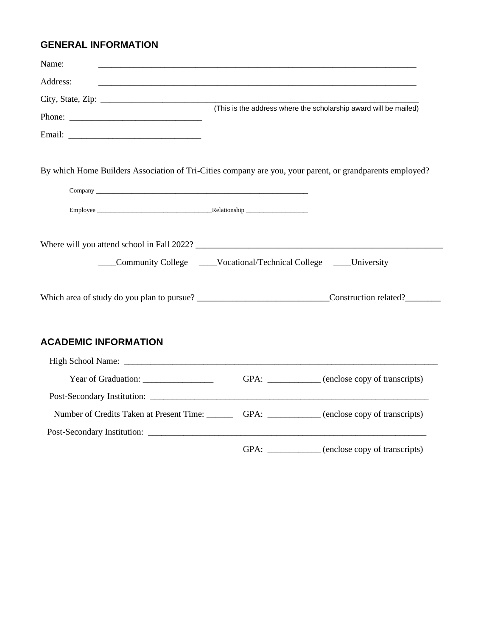# **GENERAL INFORMATION**

| Name:                       |                                                                                                          |
|-----------------------------|----------------------------------------------------------------------------------------------------------|
| Address:                    |                                                                                                          |
|                             | (This is the address where the scholarship award will be mailed)                                         |
|                             | By which Home Builders Association of Tri-Cities company are you, your parent, or grandparents employed? |
|                             |                                                                                                          |
|                             |                                                                                                          |
|                             | Where will you attend school in Fall 2022?                                                               |
|                             | Community College ____Vocational/Technical College ____University                                        |
|                             |                                                                                                          |
| <b>ACADEMIC INFORMATION</b> |                                                                                                          |
|                             |                                                                                                          |
|                             | GPA: ___________ (enclose copy of transcripts)                                                           |
|                             |                                                                                                          |
|                             | Number of Credits Taken at Present Time: GPA: GPA: (enclose copy of transcripts)                         |
|                             |                                                                                                          |
|                             | GPA: ____________ (enclose copy of transcripts)                                                          |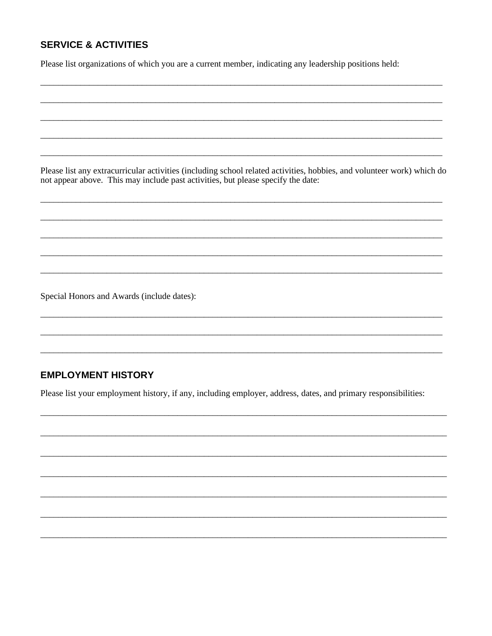# **SERVICE & ACTIVITIES**

Please list organizations of which you are a current member, indicating any leadership positions held:

Please list any extracurricular activities (including school related activities, hobbies, and volunteer work) which do not appear above. This may include past activities, but please specify the date:

Special Honors and Awards (include dates):

# **EMPLOYMENT HISTORY**

Please list your employment history, if any, including employer, address, dates, and primary responsibilities: